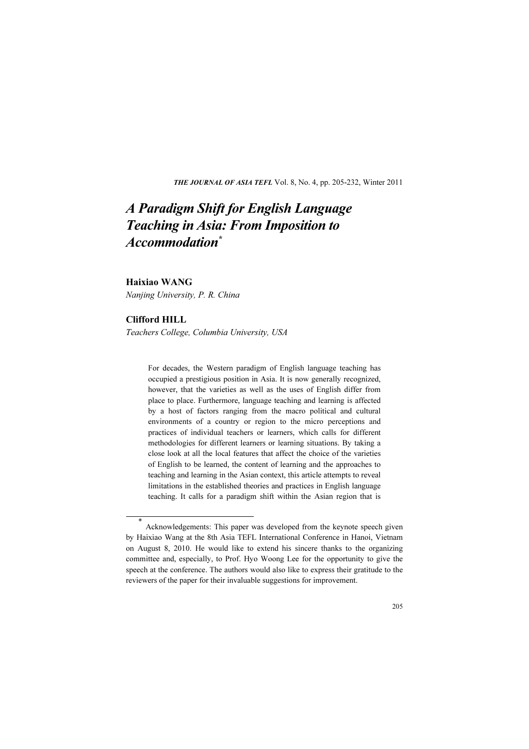THE JOURNAL OF ASIA TEFL Vol. 8, No. 4, pp. 205-232, Winter 2011

# A Paradigm Shift for English Language Teaching in Asia: From Imposition to Accommodation\*

## Haixiao WANG

Nanjing University, P. R. China

# Clifford HILL

Teachers College, Columbia University, USA

For decades, the Western paradigm of English language teaching has occupied a prestigious position in Asia. It is now generally recognized, however, that the varieties as well as the uses of English differ from place to place. Furthermore, language teaching and learning is affected by a host of factors ranging from the macro political and cultural environments of a country or region to the micro perceptions and practices of individual teachers or learners, which calls for different methodologies for different learners or learning situations. By taking a close look at all the local features that affect the choice of the varieties of English to be learned, the content of learning and the approaches to teaching and learning in the Asian context, this article attempts to reveal limitations in the established theories and practices in English language teaching. It calls for a paradigm shift within the Asian region that is

\* Acknowledgements: This paper was developed from the keynote speech given by Haixiao Wang at the 8th Asia TEFL International Conference in Hanoi, Vietnam on August 8, 2010. He would like to extend his sincere thanks to the organizing committee and, especially, to Prof. Hyo Woong Lee for the opportunity to give the speech at the conference. The authors would also like to express their gratitude to the reviewers of the paper for their invaluable suggestions for improvement.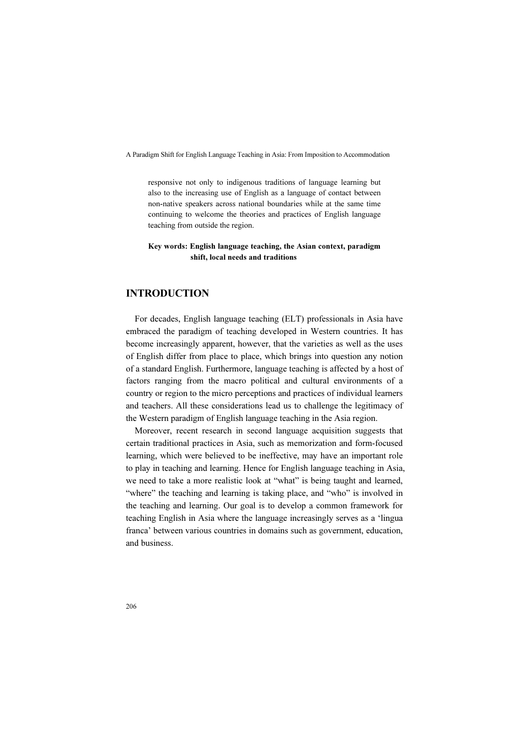responsive not only to indigenous traditions of language learning but also to the increasing use of English as a language of contact between non-native speakers across national boundaries while at the same time continuing to welcome the theories and practices of English language teaching from outside the region.

#### Key words: English language teaching, the Asian context, paradigm shift, local needs and traditions

# INTRODUCTION

For decades, English language teaching (ELT) professionals in Asia have embraced the paradigm of teaching developed in Western countries. It has become increasingly apparent, however, that the varieties as well as the uses of English differ from place to place, which brings into question any notion of a standard English. Furthermore, language teaching is affected by a host of factors ranging from the macro political and cultural environments of a country or region to the micro perceptions and practices of individual learners and teachers. All these considerations lead us to challenge the legitimacy of the Western paradigm of English language teaching in the Asia region.

Moreover, recent research in second language acquisition suggests that certain traditional practices in Asia, such as memorization and form-focused learning, which were believed to be ineffective, may have an important role to play in teaching and learning. Hence for English language teaching in Asia, we need to take a more realistic look at "what" is being taught and learned, "where" the teaching and learning is taking place, and "who" is involved in the teaching and learning. Our goal is to develop a common framework for teaching English in Asia where the language increasingly serves as a 'lingua franca' between various countries in domains such as government, education, and business.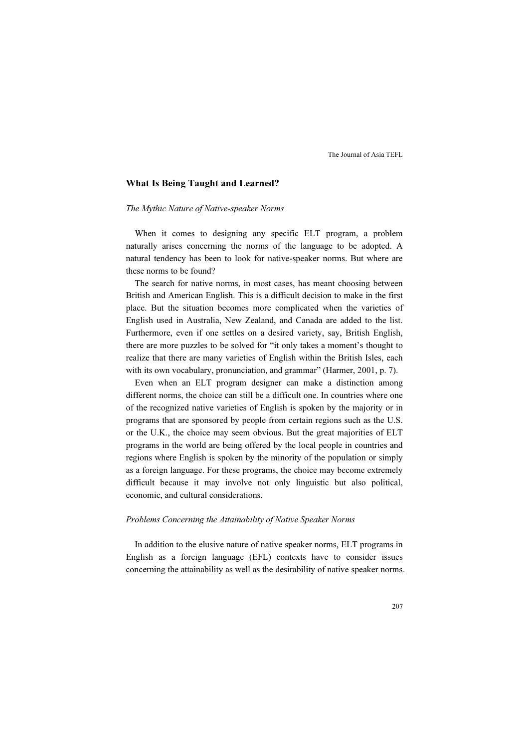## What Is Being Taught and Learned?

#### The Mythic Nature of Native-speaker Norms

When it comes to designing any specific ELT program, a problem naturally arises concerning the norms of the language to be adopted. A natural tendency has been to look for native-speaker norms. But where are these norms to be found?

The search for native norms, in most cases, has meant choosing between British and American English. This is a difficult decision to make in the first place. But the situation becomes more complicated when the varieties of English used in Australia, New Zealand, and Canada are added to the list. Furthermore, even if one settles on a desired variety, say, British English, there are more puzzles to be solved for "it only takes a moment's thought to realize that there are many varieties of English within the British Isles, each with its own vocabulary, pronunciation, and grammar" (Harmer, 2001, p. 7).

Even when an ELT program designer can make a distinction among different norms, the choice can still be a difficult one. In countries where one of the recognized native varieties of English is spoken by the majority or in programs that are sponsored by people from certain regions such as the U.S. or the U.K., the choice may seem obvious. But the great majorities of ELT programs in the world are being offered by the local people in countries and regions where English is spoken by the minority of the population or simply as a foreign language. For these programs, the choice may become extremely difficult because it may involve not only linguistic but also political, economic, and cultural considerations.

### Problems Concerning the Attainability of Native Speaker Norms

In addition to the elusive nature of native speaker norms, ELT programs in English as a foreign language (EFL) contexts have to consider issues concerning the attainability as well as the desirability of native speaker norms.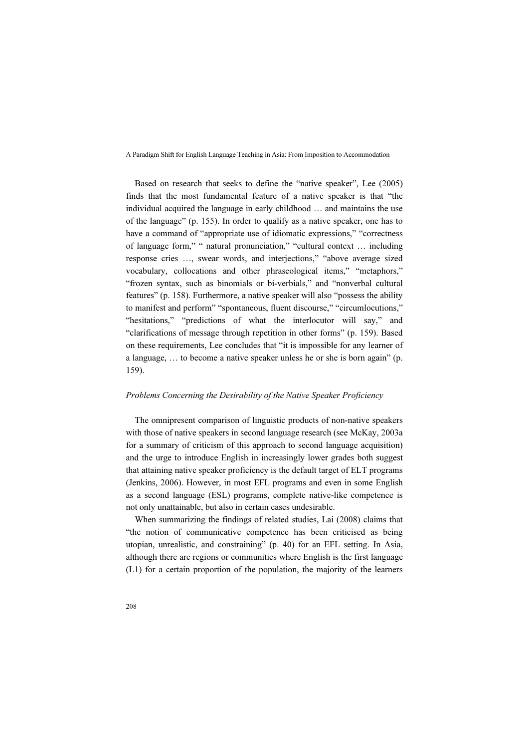Based on research that seeks to define the "native speaker", Lee (2005) finds that the most fundamental feature of a native speaker is that "the individual acquired the language in early childhood … and maintains the use of the language" (p. 155). In order to qualify as a native speaker, one has to have a command of "appropriate use of idiomatic expressions," "correctness of language form," " natural pronunciation," "cultural context … including response cries …, swear words, and interjections," "above average sized vocabulary, collocations and other phraseological items," "metaphors," "frozen syntax, such as binomials or bi-verbials," and "nonverbal cultural features" (p. 158). Furthermore, a native speaker will also "possess the ability to manifest and perform" "spontaneous, fluent discourse," "circumlocutions," "hesitations," "predictions of what the interlocutor will say," and "clarifications of message through repetition in other forms" (p. 159). Based on these requirements, Lee concludes that "it is impossible for any learner of a language, … to become a native speaker unless he or she is born again" (p. 159).

### Problems Concerning the Desirability of the Native Speaker Proficiency

The omnipresent comparison of linguistic products of non-native speakers with those of native speakers in second language research (see McKay, 2003a for a summary of criticism of this approach to second language acquisition) and the urge to introduce English in increasingly lower grades both suggest that attaining native speaker proficiency is the default target of ELT programs (Jenkins, 2006). However, in most EFL programs and even in some English as a second language (ESL) programs, complete native-like competence is not only unattainable, but also in certain cases undesirable.

When summarizing the findings of related studies, Lai (2008) claims that "the notion of communicative competence has been criticised as being utopian, unrealistic, and constraining" (p. 40) for an EFL setting. In Asia, although there are regions or communities where English is the first language (L1) for a certain proportion of the population, the majority of the learners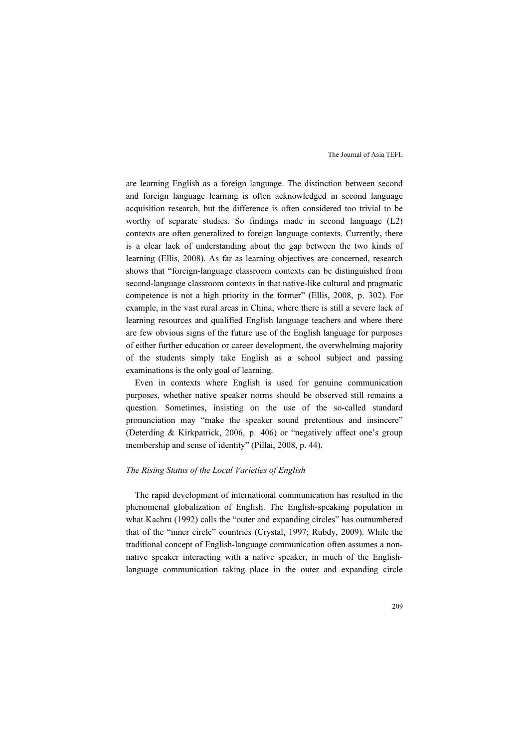are learning English as a foreign language. The distinction between second and foreign language learning is often acknowledged in second language acquisition research, but the difference is often considered too trivial to be worthy of separate studies. So findings made in second language (L2) contexts are often generalized to foreign language contexts. Currently, there is a clear lack of understanding about the gap between the two kinds of learning (Ellis, 2008). As far as learning objectives are concerned, research shows that "foreign-language classroom contexts can be distinguished from second-language classroom contexts in that native-like cultural and pragmatic competence is not a high priority in the former" (Ellis, 2008, p. 302). For example, in the vast rural areas in China, where there is still a severe lack of learning resources and qualified English language teachers and where there are few obvious signs of the future use of the English language for purposes of either further education or career development, the overwhelming majority of the students simply take English as a school subject and passing examinations is the only goal of learning.

Even in contexts where English is used for genuine communication purposes, whether native speaker norms should be observed still remains a question. Sometimes, insisting on the use of the so-called standard pronunciation may "make the speaker sound pretentious and insincere" (Deterding & Kirkpatrick, 2006, p. 406) or "negatively affect one's group membership and sense of identity" (Pillai, 2008, p. 44).

### The Rising Status of the Local Varieties of English

The rapid development of international communication has resulted in the phenomenal globalization of English. The English-speaking population in what Kachru (1992) calls the "outer and expanding circles" has outnumbered that of the "inner circle" countries (Crystal, 1997; Rubdy, 2009). While the traditional concept of English-language communication often assumes a nonnative speaker interacting with a native speaker, in much of the Englishlanguage communication taking place in the outer and expanding circle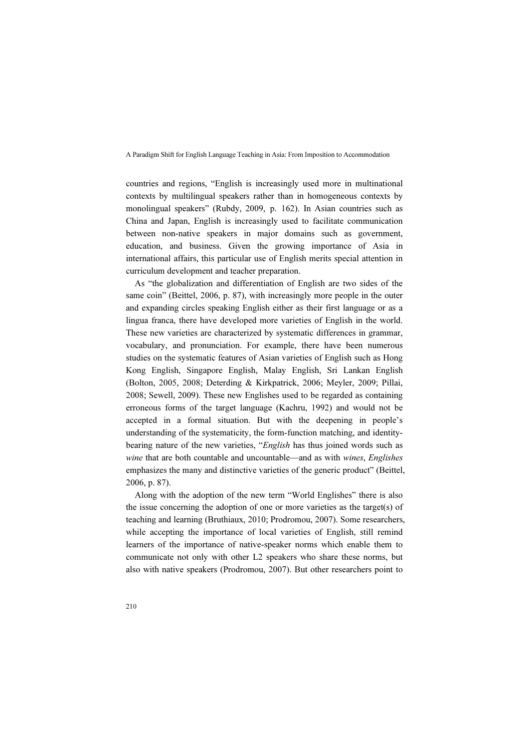countries and regions, "English is increasingly used more in multinational contexts by multilingual speakers rather than in homogeneous contexts by monolingual speakers" (Rubdy, 2009, p. 162). In Asian countries such as China and Japan, English is increasingly used to facilitate communication between non-native speakers in major domains such as government, education, and business. Given the growing importance of Asia in international affairs, this particular use of English merits special attention in curriculum development and teacher preparation.

As "the globalization and differentiation of English are two sides of the same coin" (Beittel, 2006, p. 87), with increasingly more people in the outer and expanding circles speaking English either as their first language or as a lingua franca, there have developed more varieties of English in the world. These new varieties are characterized by systematic differences in grammar, vocabulary, and pronunciation. For example, there have been numerous studies on the systematic features of Asian varieties of English such as Hong Kong English, Singapore English, Malay English, Sri Lankan English (Bolton, 2005, 2008; Deterding & Kirkpatrick, 2006; Meyler, 2009; Pillai, 2008; Sewell, 2009). These new Englishes used to be regarded as containing erroneous forms of the target language (Kachru, 1992) and would not be accepted in a formal situation. But with the deepening in people's understanding of the systematicity, the form-function matching, and identitybearing nature of the new varieties, "English has thus joined words such as wine that are both countable and uncountable—and as with wines, Englishes emphasizes the many and distinctive varieties of the generic product" (Beittel, 2006, p. 87).

Along with the adoption of the new term "World Englishes" there is also the issue concerning the adoption of one or more varieties as the target(s) of teaching and learning (Bruthiaux, 2010; Prodromou, 2007). Some researchers, while accepting the importance of local varieties of English, still remind learners of the importance of native-speaker norms which enable them to communicate not only with other L2 speakers who share these norms, but also with native speakers (Prodromou, 2007). But other researchers point to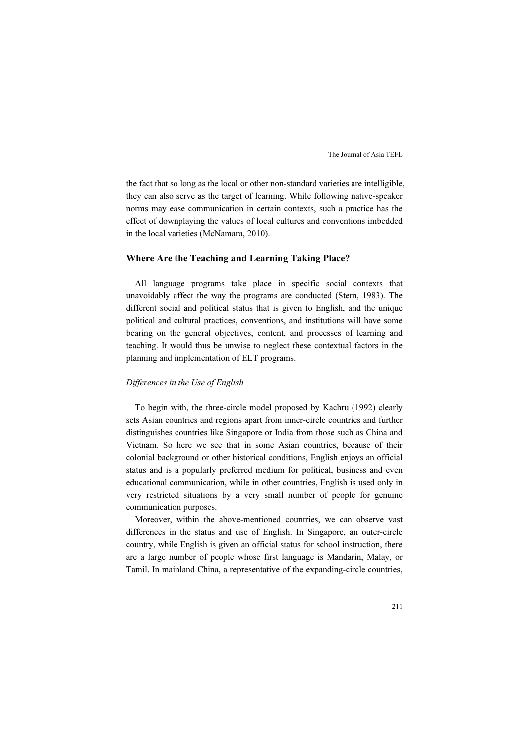the fact that so long as the local or other non-standard varieties are intelligible, they can also serve as the target of learning. While following native-speaker norms may ease communication in certain contexts, such a practice has the effect of downplaying the values of local cultures and conventions imbedded in the local varieties (McNamara, 2010).

## Where Are the Teaching and Learning Taking Place?

All language programs take place in specific social contexts that unavoidably affect the way the programs are conducted (Stern, 1983). The different social and political status that is given to English, and the unique political and cultural practices, conventions, and institutions will have some bearing on the general objectives, content, and processes of learning and teaching. It would thus be unwise to neglect these contextual factors in the planning and implementation of ELT programs.

#### Differences in the Use of English

To begin with, the three-circle model proposed by Kachru (1992) clearly sets Asian countries and regions apart from inner-circle countries and further distinguishes countries like Singapore or India from those such as China and Vietnam. So here we see that in some Asian countries, because of their colonial background or other historical conditions, English enjoys an official status and is a popularly preferred medium for political, business and even educational communication, while in other countries, English is used only in very restricted situations by a very small number of people for genuine communication purposes.

Moreover, within the above-mentioned countries, we can observe vast differences in the status and use of English. In Singapore, an outer-circle country, while English is given an official status for school instruction, there are a large number of people whose first language is Mandarin, Malay, or Tamil. In mainland China, a representative of the expanding-circle countries,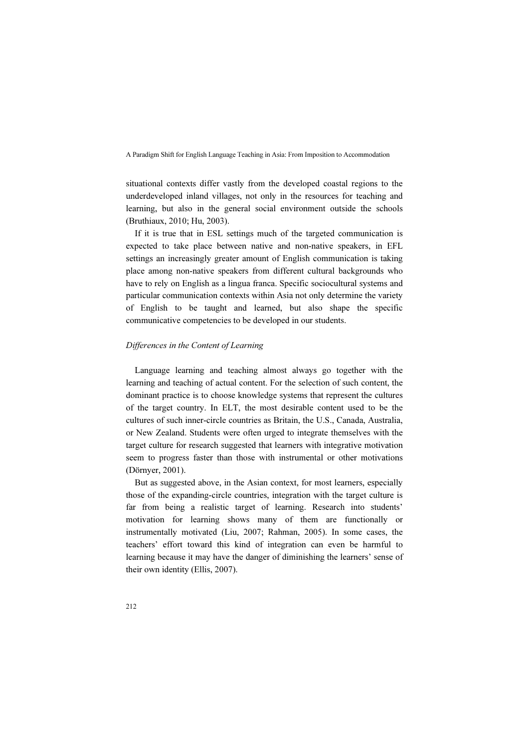situational contexts differ vastly from the developed coastal regions to the underdeveloped inland villages, not only in the resources for teaching and learning, but also in the general social environment outside the schools (Bruthiaux, 2010; Hu, 2003).

If it is true that in ESL settings much of the targeted communication is expected to take place between native and non-native speakers, in EFL settings an increasingly greater amount of English communication is taking place among non-native speakers from different cultural backgrounds who have to rely on English as a lingua franca. Specific sociocultural systems and particular communication contexts within Asia not only determine the variety of English to be taught and learned, but also shape the specific communicative competencies to be developed in our students.

# Differences in the Content of Learning

Language learning and teaching almost always go together with the learning and teaching of actual content. For the selection of such content, the dominant practice is to choose knowledge systems that represent the cultures of the target country. In ELT, the most desirable content used to be the cultures of such inner-circle countries as Britain, the U.S., Canada, Australia, or New Zealand. Students were often urged to integrate themselves with the target culture for research suggested that learners with integrative motivation seem to progress faster than those with instrumental or other motivations (Dörnyer, 2001).

But as suggested above, in the Asian context, for most learners, especially those of the expanding-circle countries, integration with the target culture is far from being a realistic target of learning. Research into students' motivation for learning shows many of them are functionally or instrumentally motivated (Liu, 2007; Rahman, 2005). In some cases, the teachers' effort toward this kind of integration can even be harmful to learning because it may have the danger of diminishing the learners' sense of their own identity (Ellis, 2007).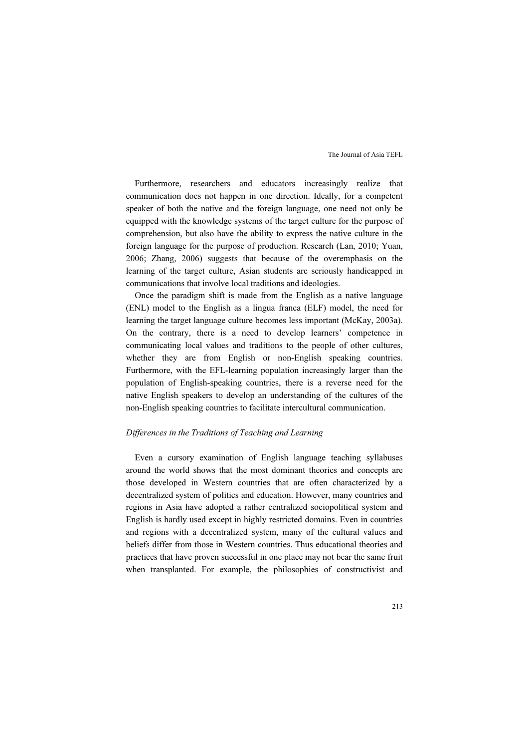Furthermore, researchers and educators increasingly realize that communication does not happen in one direction. Ideally, for a competent speaker of both the native and the foreign language, one need not only be equipped with the knowledge systems of the target culture for the purpose of comprehension, but also have the ability to express the native culture in the foreign language for the purpose of production. Research (Lan, 2010; Yuan, 2006; Zhang, 2006) suggests that because of the overemphasis on the learning of the target culture, Asian students are seriously handicapped in communications that involve local traditions and ideologies.

Once the paradigm shift is made from the English as a native language (ENL) model to the English as a lingua franca (ELF) model, the need for learning the target language culture becomes less important (McKay, 2003a). On the contrary, there is a need to develop learners' competence in communicating local values and traditions to the people of other cultures, whether they are from English or non-English speaking countries. Furthermore, with the EFL-learning population increasingly larger than the population of English-speaking countries, there is a reverse need for the native English speakers to develop an understanding of the cultures of the non-English speaking countries to facilitate intercultural communication.

### Differences in the Traditions of Teaching and Learning

Even a cursory examination of English language teaching syllabuses around the world shows that the most dominant theories and concepts are those developed in Western countries that are often characterized by a decentralized system of politics and education. However, many countries and regions in Asia have adopted a rather centralized sociopolitical system and English is hardly used except in highly restricted domains. Even in countries and regions with a decentralized system, many of the cultural values and beliefs differ from those in Western countries. Thus educational theories and practices that have proven successful in one place may not bear the same fruit when transplanted. For example, the philosophies of constructivist and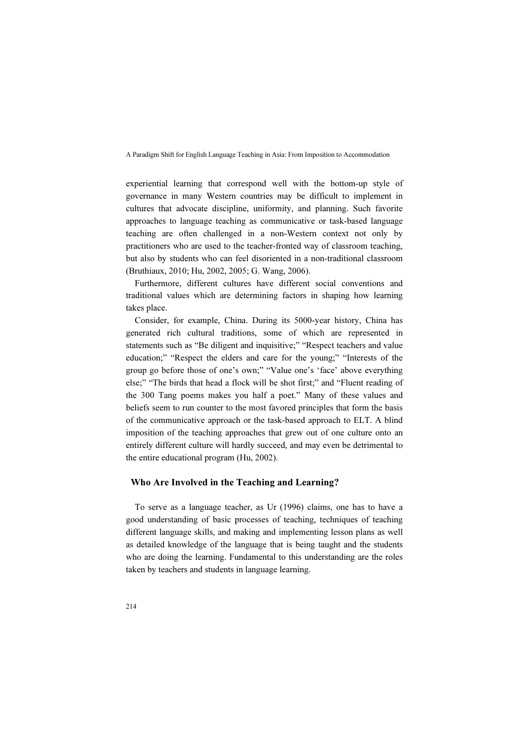experiential learning that correspond well with the bottom-up style of governance in many Western countries may be difficult to implement in cultures that advocate discipline, uniformity, and planning. Such favorite approaches to language teaching as communicative or task-based language teaching are often challenged in a non-Western context not only by practitioners who are used to the teacher-fronted way of classroom teaching, but also by students who can feel disoriented in a non-traditional classroom (Bruthiaux, 2010; Hu, 2002, 2005; G. Wang, 2006).

Furthermore, different cultures have different social conventions and traditional values which are determining factors in shaping how learning takes place.

Consider, for example, China. During its 5000-year history, China has generated rich cultural traditions, some of which are represented in statements such as "Be diligent and inquisitive;" "Respect teachers and value education;" "Respect the elders and care for the young;" "Interests of the group go before those of one's own;" "Value one's 'face' above everything else;" "The birds that head a flock will be shot first;" and "Fluent reading of the 300 Tang poems makes you half a poet." Many of these values and beliefs seem to run counter to the most favored principles that form the basis of the communicative approach or the task-based approach to ELT. A blind imposition of the teaching approaches that grew out of one culture onto an entirely different culture will hardly succeed, and may even be detrimental to the entire educational program (Hu, 2002).

## Who Are Involved in the Teaching and Learning?

To serve as a language teacher, as Ur (1996) claims, one has to have a good understanding of basic processes of teaching, techniques of teaching different language skills, and making and implementing lesson plans as well as detailed knowledge of the language that is being taught and the students who are doing the learning. Fundamental to this understanding are the roles taken by teachers and students in language learning.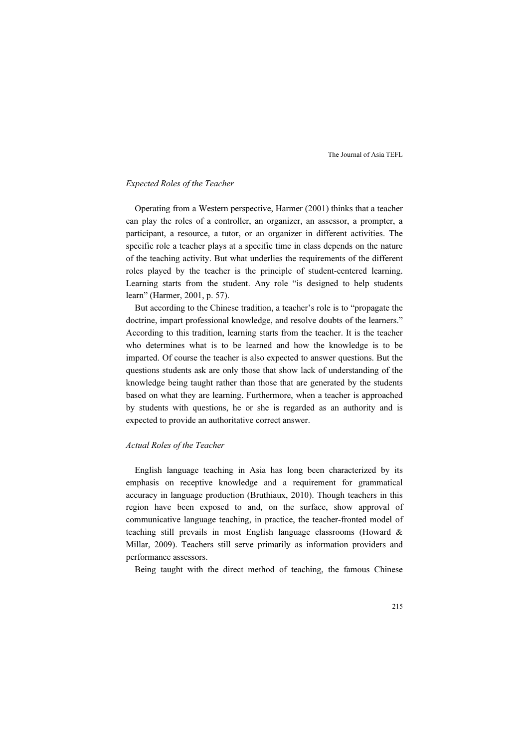## Expected Roles of the Teacher

Operating from a Western perspective, Harmer (2001) thinks that a teacher can play the roles of a controller, an organizer, an assessor, a prompter, a participant, a resource, a tutor, or an organizer in different activities. The specific role a teacher plays at a specific time in class depends on the nature of the teaching activity. But what underlies the requirements of the different roles played by the teacher is the principle of student-centered learning. Learning starts from the student. Any role "is designed to help students learn" (Harmer, 2001, p. 57).

But according to the Chinese tradition, a teacher's role is to "propagate the doctrine, impart professional knowledge, and resolve doubts of the learners." According to this tradition, learning starts from the teacher. It is the teacher who determines what is to be learned and how the knowledge is to be imparted. Of course the teacher is also expected to answer questions. But the questions students ask are only those that show lack of understanding of the knowledge being taught rather than those that are generated by the students based on what they are learning. Furthermore, when a teacher is approached by students with questions, he or she is regarded as an authority and is expected to provide an authoritative correct answer.

#### Actual Roles of the Teacher

English language teaching in Asia has long been characterized by its emphasis on receptive knowledge and a requirement for grammatical accuracy in language production (Bruthiaux, 2010). Though teachers in this region have been exposed to and, on the surface, show approval of communicative language teaching, in practice, the teacher-fronted model of teaching still prevails in most English language classrooms (Howard & Millar, 2009). Teachers still serve primarily as information providers and performance assessors.

Being taught with the direct method of teaching, the famous Chinese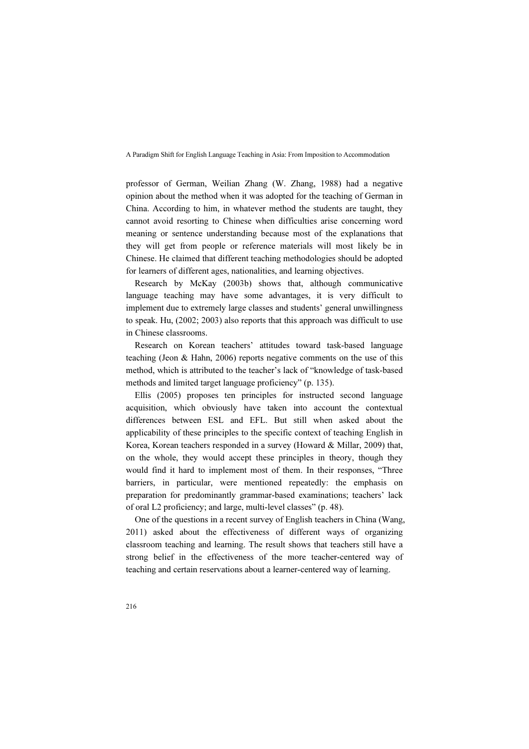professor of German, Weilian Zhang (W. Zhang, 1988) had a negative opinion about the method when it was adopted for the teaching of German in China. According to him, in whatever method the students are taught, they cannot avoid resorting to Chinese when difficulties arise concerning word meaning or sentence understanding because most of the explanations that they will get from people or reference materials will most likely be in Chinese. He claimed that different teaching methodologies should be adopted for learners of different ages, nationalities, and learning objectives.

Research by McKay (2003b) shows that, although communicative language teaching may have some advantages, it is very difficult to implement due to extremely large classes and students' general unwillingness to speak. Hu, (2002; 2003) also reports that this approach was difficult to use in Chinese classrooms.

Research on Korean teachers' attitudes toward task-based language teaching (Jeon & Hahn, 2006) reports negative comments on the use of this method, which is attributed to the teacher's lack of "knowledge of task-based methods and limited target language proficiency" (p. 135).

Ellis (2005) proposes ten principles for instructed second language acquisition, which obviously have taken into account the contextual differences between ESL and EFL. But still when asked about the applicability of these principles to the specific context of teaching English in Korea, Korean teachers responded in a survey (Howard & Millar, 2009) that, on the whole, they would accept these principles in theory, though they would find it hard to implement most of them. In their responses, "Three barriers, in particular, were mentioned repeatedly: the emphasis on preparation for predominantly grammar-based examinations; teachers' lack of oral L2 proficiency; and large, multi-level classes" (p. 48).

One of the questions in a recent survey of English teachers in China (Wang, 2011) asked about the effectiveness of different ways of organizing classroom teaching and learning. The result shows that teachers still have a strong belief in the effectiveness of the more teacher-centered way of teaching and certain reservations about a learner-centered way of learning.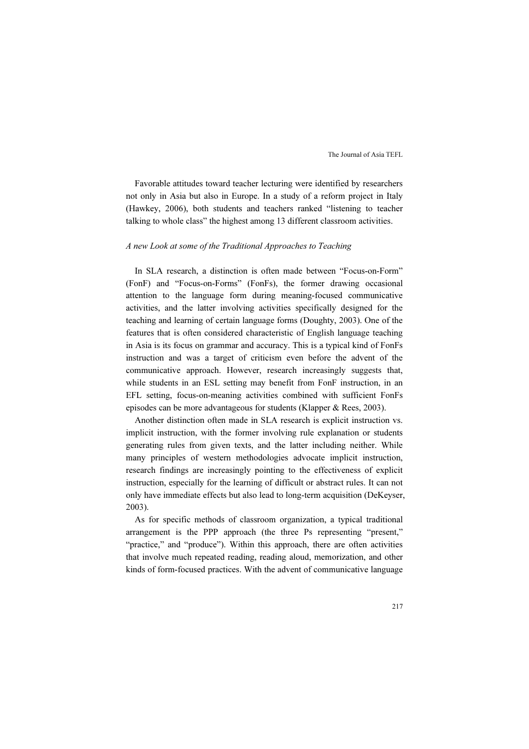Favorable attitudes toward teacher lecturing were identified by researchers not only in Asia but also in Europe. In a study of a reform project in Italy (Hawkey, 2006), both students and teachers ranked "listening to teacher talking to whole class" the highest among 13 different classroom activities.

#### A new Look at some of the Traditional Approaches to Teaching

In SLA research, a distinction is often made between "Focus-on-Form" (FonF) and "Focus-on-Forms" (FonFs), the former drawing occasional attention to the language form during meaning-focused communicative activities, and the latter involving activities specifically designed for the teaching and learning of certain language forms (Doughty, 2003). One of the features that is often considered characteristic of English language teaching in Asia is its focus on grammar and accuracy. This is a typical kind of FonFs instruction and was a target of criticism even before the advent of the communicative approach. However, research increasingly suggests that, while students in an ESL setting may benefit from FonF instruction, in an EFL setting, focus-on-meaning activities combined with sufficient FonFs episodes can be more advantageous for students (Klapper & Rees, 2003).

Another distinction often made in SLA research is explicit instruction vs. implicit instruction, with the former involving rule explanation or students generating rules from given texts, and the latter including neither. While many principles of western methodologies advocate implicit instruction, research findings are increasingly pointing to the effectiveness of explicit instruction, especially for the learning of difficult or abstract rules. It can not only have immediate effects but also lead to long-term acquisition (DeKeyser, 2003).

As for specific methods of classroom organization, a typical traditional arrangement is the PPP approach (the three Ps representing "present," "practice," and "produce"). Within this approach, there are often activities that involve much repeated reading, reading aloud, memorization, and other kinds of form-focused practices. With the advent of communicative language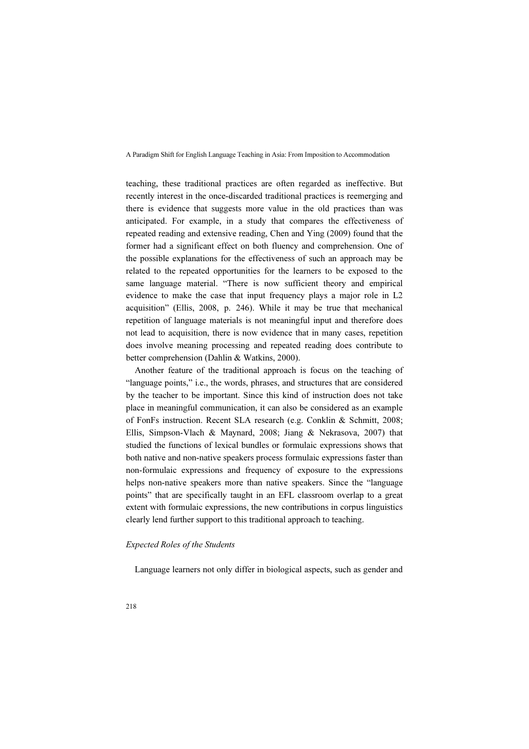teaching, these traditional practices are often regarded as ineffective. But recently interest in the once-discarded traditional practices is reemerging and there is evidence that suggests more value in the old practices than was anticipated. For example, in a study that compares the effectiveness of repeated reading and extensive reading, Chen and Ying (2009) found that the former had a significant effect on both fluency and comprehension. One of the possible explanations for the effectiveness of such an approach may be related to the repeated opportunities for the learners to be exposed to the same language material. "There is now sufficient theory and empirical evidence to make the case that input frequency plays a major role in L2 acquisition" (Ellis, 2008, p. 246). While it may be true that mechanical repetition of language materials is not meaningful input and therefore does not lead to acquisition, there is now evidence that in many cases, repetition does involve meaning processing and repeated reading does contribute to better comprehension (Dahlin & Watkins, 2000).

Another feature of the traditional approach is focus on the teaching of "language points," i.e., the words, phrases, and structures that are considered by the teacher to be important. Since this kind of instruction does not take place in meaningful communication, it can also be considered as an example of FonFs instruction. Recent SLA research (e.g. Conklin & Schmitt, 2008; Ellis, Simpson-Vlach & Maynard, 2008; Jiang & Nekrasova, 2007) that studied the functions of lexical bundles or formulaic expressions shows that both native and non-native speakers process formulaic expressions faster than non-formulaic expressions and frequency of exposure to the expressions helps non-native speakers more than native speakers. Since the "language points" that are specifically taught in an EFL classroom overlap to a great extent with formulaic expressions, the new contributions in corpus linguistics clearly lend further support to this traditional approach to teaching.

#### Expected Roles of the Students

Language learners not only differ in biological aspects, such as gender and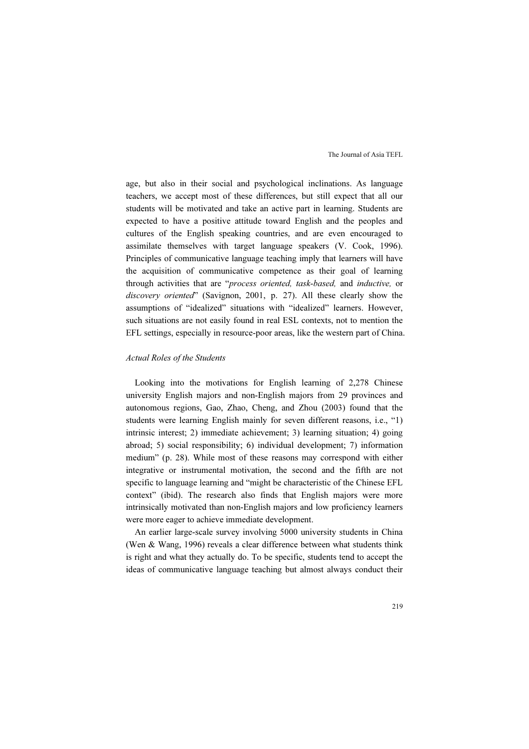age, but also in their social and psychological inclinations. As language teachers, we accept most of these differences, but still expect that all our students will be motivated and take an active part in learning. Students are expected to have a positive attitude toward English and the peoples and cultures of the English speaking countries, and are even encouraged to assimilate themselves with target language speakers (V. Cook, 1996). Principles of communicative language teaching imply that learners will have the acquisition of communicative competence as their goal of learning through activities that are "process oriented, task-based, and inductive, or discovery oriented" (Savignon, 2001, p. 27). All these clearly show the assumptions of "idealized" situations with "idealized" learners. However, such situations are not easily found in real ESL contexts, not to mention the EFL settings, especially in resource-poor areas, like the western part of China.

#### Actual Roles of the Students

Looking into the motivations for English learning of 2,278 Chinese university English majors and non-English majors from 29 provinces and autonomous regions, Gao, Zhao, Cheng, and Zhou (2003) found that the students were learning English mainly for seven different reasons, i.e., "1) intrinsic interest; 2) immediate achievement; 3) learning situation; 4) going abroad; 5) social responsibility; 6) individual development; 7) information medium" (p. 28). While most of these reasons may correspond with either integrative or instrumental motivation, the second and the fifth are not specific to language learning and "might be characteristic of the Chinese EFL context" (ibid). The research also finds that English majors were more intrinsically motivated than non-English majors and low proficiency learners were more eager to achieve immediate development.

An earlier large-scale survey involving 5000 university students in China (Wen & Wang, 1996) reveals a clear difference between what students think is right and what they actually do. To be specific, students tend to accept the ideas of communicative language teaching but almost always conduct their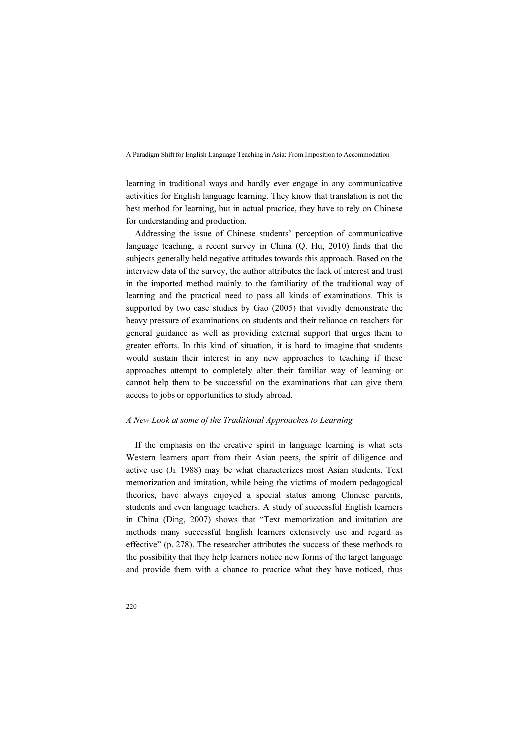learning in traditional ways and hardly ever engage in any communicative activities for English language learning. They know that translation is not the best method for learning, but in actual practice, they have to rely on Chinese for understanding and production.

Addressing the issue of Chinese students' perception of communicative language teaching, a recent survey in China (Q. Hu, 2010) finds that the subjects generally held negative attitudes towards this approach. Based on the interview data of the survey, the author attributes the lack of interest and trust in the imported method mainly to the familiarity of the traditional way of learning and the practical need to pass all kinds of examinations. This is supported by two case studies by Gao (2005) that vividly demonstrate the heavy pressure of examinations on students and their reliance on teachers for general guidance as well as providing external support that urges them to greater efforts. In this kind of situation, it is hard to imagine that students would sustain their interest in any new approaches to teaching if these approaches attempt to completely alter their familiar way of learning or cannot help them to be successful on the examinations that can give them access to jobs or opportunities to study abroad.

#### A New Look at some of the Traditional Approaches to Learning

If the emphasis on the creative spirit in language learning is what sets Western learners apart from their Asian peers, the spirit of diligence and active use (Ji, 1988) may be what characterizes most Asian students. Text memorization and imitation, while being the victims of modern pedagogical theories, have always enjoyed a special status among Chinese parents, students and even language teachers. A study of successful English learners in China (Ding, 2007) shows that "Text memorization and imitation are methods many successful English learners extensively use and regard as effective" (p. 278). The researcher attributes the success of these methods to the possibility that they help learners notice new forms of the target language and provide them with a chance to practice what they have noticed, thus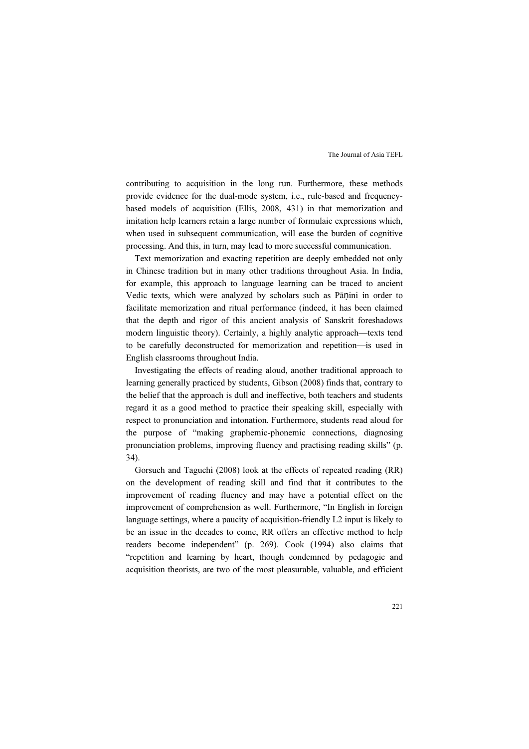contributing to acquisition in the long run. Furthermore, these methods provide evidence for the dual-mode system, i.e., rule-based and frequencybased models of acquisition (Ellis, 2008, 431) in that memorization and imitation help learners retain a large number of formulaic expressions which, when used in subsequent communication, will ease the burden of cognitive processing. And this, in turn, may lead to more successful communication.

Text memorization and exacting repetition are deeply embedded not only in Chinese tradition but in many other traditions throughout Asia. In India, for example, this approach to language learning can be traced to ancient Vedic texts, which were analyzed by scholars such as Pāṇini in order to facilitate memorization and ritual performance (indeed, it has been claimed that the depth and rigor of this ancient analysis of Sanskrit foreshadows modern linguistic theory). Certainly, a highly analytic approach—texts tend to be carefully deconstructed for memorization and repetition—is used in English classrooms throughout India.

Investigating the effects of reading aloud, another traditional approach to learning generally practiced by students, Gibson (2008) finds that, contrary to the belief that the approach is dull and ineffective, both teachers and students regard it as a good method to practice their speaking skill, especially with respect to pronunciation and intonation. Furthermore, students read aloud for the purpose of "making graphemic-phonemic connections, diagnosing pronunciation problems, improving fluency and practising reading skills" (p. 34).

Gorsuch and Taguchi (2008) look at the effects of repeated reading (RR) on the development of reading skill and find that it contributes to the improvement of reading fluency and may have a potential effect on the improvement of comprehension as well. Furthermore, "In English in foreign language settings, where a paucity of acquisition-friendly L2 input is likely to be an issue in the decades to come, RR offers an effective method to help readers become independent" (p. 269). Cook (1994) also claims that "repetition and learning by heart, though condemned by pedagogic and acquisition theorists, are two of the most pleasurable, valuable, and efficient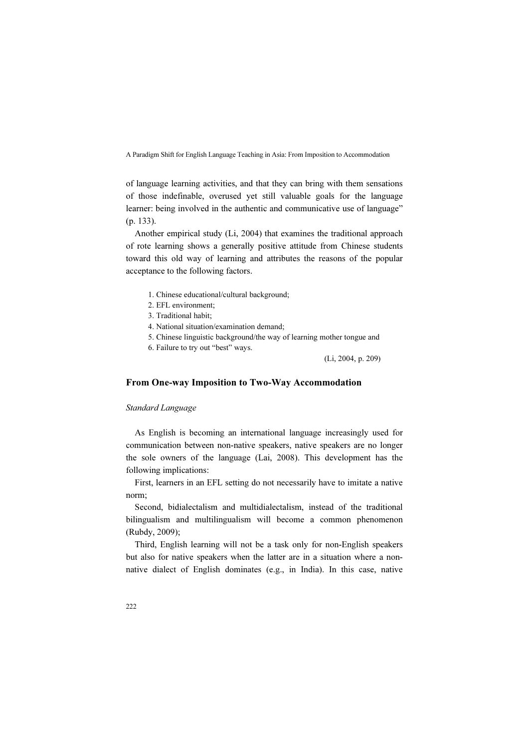of language learning activities, and that they can bring with them sensations of those indefinable, overused yet still valuable goals for the language learner: being involved in the authentic and communicative use of language" (p. 133).

Another empirical study (Li, 2004) that examines the traditional approach of rote learning shows a generally positive attitude from Chinese students toward this old way of learning and attributes the reasons of the popular acceptance to the following factors.

- 1. Chinese educational/cultural background;
- 2. EFL environment;
- 3. Traditional habit;
- 4. National situation/examination demand;
- 5. Chinese linguistic background/the way of learning mother tongue and
- 6. Failure to try out "best" ways.

(Li, 2004, p. 209)

## From One-way Imposition to Two-Way Accommodation

#### Standard Language

As English is becoming an international language increasingly used for communication between non-native speakers, native speakers are no longer the sole owners of the language (Lai, 2008). This development has the following implications:

First, learners in an EFL setting do not necessarily have to imitate a native norm;

Second, bidialectalism and multidialectalism, instead of the traditional bilingualism and multilingualism will become a common phenomenon (Rubdy, 2009);

Third, English learning will not be a task only for non-English speakers but also for native speakers when the latter are in a situation where a nonnative dialect of English dominates (e.g., in India). In this case, native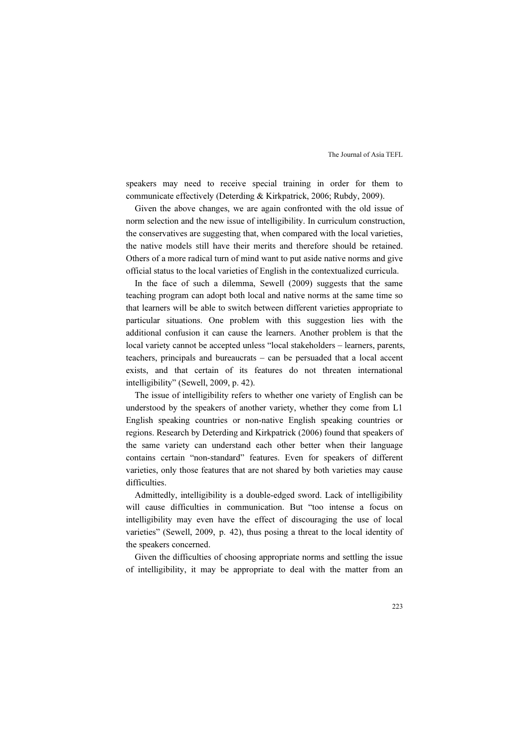speakers may need to receive special training in order for them to communicate effectively (Deterding & Kirkpatrick, 2006; Rubdy, 2009).

Given the above changes, we are again confronted with the old issue of norm selection and the new issue of intelligibility. In curriculum construction, the conservatives are suggesting that, when compared with the local varieties, the native models still have their merits and therefore should be retained. Others of a more radical turn of mind want to put aside native norms and give official status to the local varieties of English in the contextualized curricula.

In the face of such a dilemma, Sewell (2009) suggests that the same teaching program can adopt both local and native norms at the same time so that learners will be able to switch between different varieties appropriate to particular situations. One problem with this suggestion lies with the additional confusion it can cause the learners. Another problem is that the local variety cannot be accepted unless "local stakeholders – learners, parents, teachers, principals and bureaucrats – can be persuaded that a local accent exists, and that certain of its features do not threaten international intelligibility" (Sewell, 2009, p. 42).

The issue of intelligibility refers to whether one variety of English can be understood by the speakers of another variety, whether they come from L1 English speaking countries or non-native English speaking countries or regions. Research by Deterding and Kirkpatrick (2006) found that speakers of the same variety can understand each other better when their language contains certain "non-standard" features. Even for speakers of different varieties, only those features that are not shared by both varieties may cause difficulties.

Admittedly, intelligibility is a double-edged sword. Lack of intelligibility will cause difficulties in communication. But "too intense a focus on intelligibility may even have the effect of discouraging the use of local varieties" (Sewell, 2009, p. 42), thus posing a threat to the local identity of the speakers concerned.

Given the difficulties of choosing appropriate norms and settling the issue of intelligibility, it may be appropriate to deal with the matter from an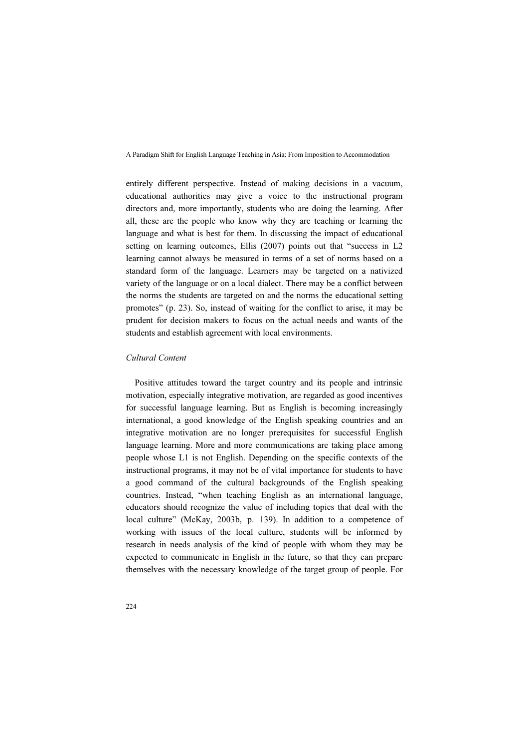entirely different perspective. Instead of making decisions in a vacuum, educational authorities may give a voice to the instructional program directors and, more importantly, students who are doing the learning. After all, these are the people who know why they are teaching or learning the language and what is best for them. In discussing the impact of educational setting on learning outcomes, Ellis (2007) points out that "success in L2 learning cannot always be measured in terms of a set of norms based on a standard form of the language. Learners may be targeted on a nativized variety of the language or on a local dialect. There may be a conflict between the norms the students are targeted on and the norms the educational setting promotes" (p. 23). So, instead of waiting for the conflict to arise, it may be prudent for decision makers to focus on the actual needs and wants of the students and establish agreement with local environments.

### Cultural Content

Positive attitudes toward the target country and its people and intrinsic motivation, especially integrative motivation, are regarded as good incentives for successful language learning. But as English is becoming increasingly international, a good knowledge of the English speaking countries and an integrative motivation are no longer prerequisites for successful English language learning. More and more communications are taking place among people whose L1 is not English. Depending on the specific contexts of the instructional programs, it may not be of vital importance for students to have a good command of the cultural backgrounds of the English speaking countries. Instead, "when teaching English as an international language, educators should recognize the value of including topics that deal with the local culture" (McKay, 2003b, p. 139). In addition to a competence of working with issues of the local culture, students will be informed by research in needs analysis of the kind of people with whom they may be expected to communicate in English in the future, so that they can prepare themselves with the necessary knowledge of the target group of people. For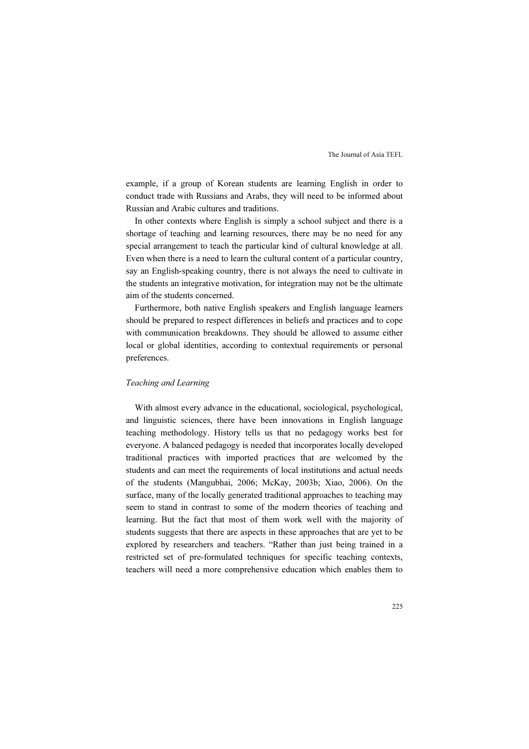example, if a group of Korean students are learning English in order to conduct trade with Russians and Arabs, they will need to be informed about Russian and Arabic cultures and traditions.

In other contexts where English is simply a school subject and there is a shortage of teaching and learning resources, there may be no need for any special arrangement to teach the particular kind of cultural knowledge at all. Even when there is a need to learn the cultural content of a particular country, say an English-speaking country, there is not always the need to cultivate in the students an integrative motivation, for integration may not be the ultimate aim of the students concerned.

Furthermore, both native English speakers and English language learners should be prepared to respect differences in beliefs and practices and to cope with communication breakdowns. They should be allowed to assume either local or global identities, according to contextual requirements or personal preferences.

#### Teaching and Learning

With almost every advance in the educational, sociological, psychological, and linguistic sciences, there have been innovations in English language teaching methodology. History tells us that no pedagogy works best for everyone. A balanced pedagogy is needed that incorporates locally developed traditional practices with imported practices that are welcomed by the students and can meet the requirements of local institutions and actual needs of the students (Mangubhai, 2006; McKay, 2003b; Xiao, 2006). On the surface, many of the locally generated traditional approaches to teaching may seem to stand in contrast to some of the modern theories of teaching and learning. But the fact that most of them work well with the majority of students suggests that there are aspects in these approaches that are yet to be explored by researchers and teachers. "Rather than just being trained in a restricted set of pre-formulated techniques for specific teaching contexts, teachers will need a more comprehensive education which enables them to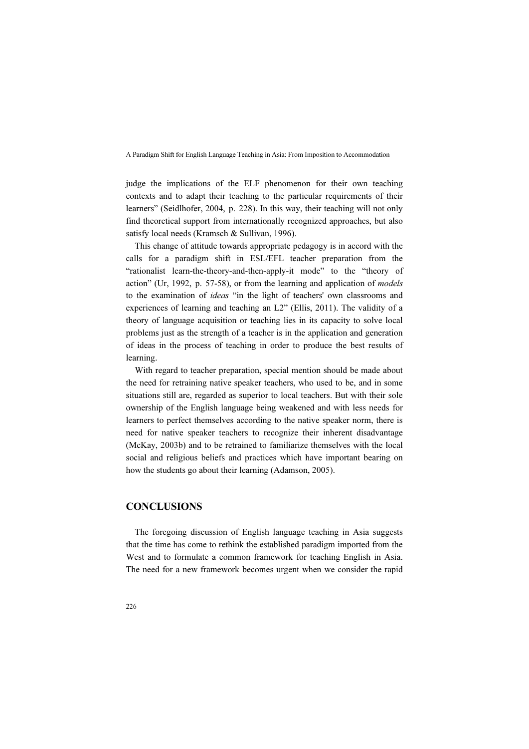judge the implications of the ELF phenomenon for their own teaching contexts and to adapt their teaching to the particular requirements of their learners" (Seidlhofer, 2004, p. 228). In this way, their teaching will not only find theoretical support from internationally recognized approaches, but also satisfy local needs (Kramsch & Sullivan, 1996).

This change of attitude towards appropriate pedagogy is in accord with the calls for a paradigm shift in ESL/EFL teacher preparation from the "rationalist learn-the-theory-and-then-apply-it mode" to the "theory of action" (Ur, 1992, p. 57-58), or from the learning and application of models to the examination of ideas "in the light of teachers' own classrooms and experiences of learning and teaching an L2" (Ellis, 2011). The validity of a theory of language acquisition or teaching lies in its capacity to solve local problems just as the strength of a teacher is in the application and generation of ideas in the process of teaching in order to produce the best results of learning.

With regard to teacher preparation, special mention should be made about the need for retraining native speaker teachers, who used to be, and in some situations still are, regarded as superior to local teachers. But with their sole ownership of the English language being weakened and with less needs for learners to perfect themselves according to the native speaker norm, there is need for native speaker teachers to recognize their inherent disadvantage (McKay, 2003b) and to be retrained to familiarize themselves with the local social and religious beliefs and practices which have important bearing on how the students go about their learning (Adamson, 2005).

# **CONCLUSIONS**

The foregoing discussion of English language teaching in Asia suggests that the time has come to rethink the established paradigm imported from the West and to formulate a common framework for teaching English in Asia. The need for a new framework becomes urgent when we consider the rapid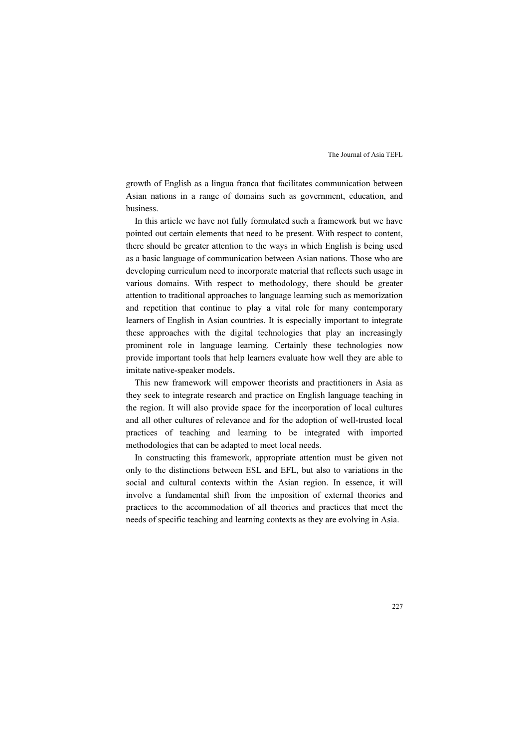growth of English as a lingua franca that facilitates communication between Asian nations in a range of domains such as government, education, and business.

In this article we have not fully formulated such a framework but we have pointed out certain elements that need to be present. With respect to content, there should be greater attention to the ways in which English is being used as a basic language of communication between Asian nations. Those who are developing curriculum need to incorporate material that reflects such usage in various domains. With respect to methodology, there should be greater attention to traditional approaches to language learning such as memorization and repetition that continue to play a vital role for many contemporary learners of English in Asian countries. It is especially important to integrate these approaches with the digital technologies that play an increasingly prominent role in language learning. Certainly these technologies now provide important tools that help learners evaluate how well they are able to imitate native-speaker models.

This new framework will empower theorists and practitioners in Asia as they seek to integrate research and practice on English language teaching in the region. It will also provide space for the incorporation of local cultures and all other cultures of relevance and for the adoption of well-trusted local practices of teaching and learning to be integrated with imported methodologies that can be adapted to meet local needs.

In constructing this framework, appropriate attention must be given not only to the distinctions between ESL and EFL, but also to variations in the social and cultural contexts within the Asian region. In essence, it will involve a fundamental shift from the imposition of external theories and practices to the accommodation of all theories and practices that meet the needs of specific teaching and learning contexts as they are evolving in Asia.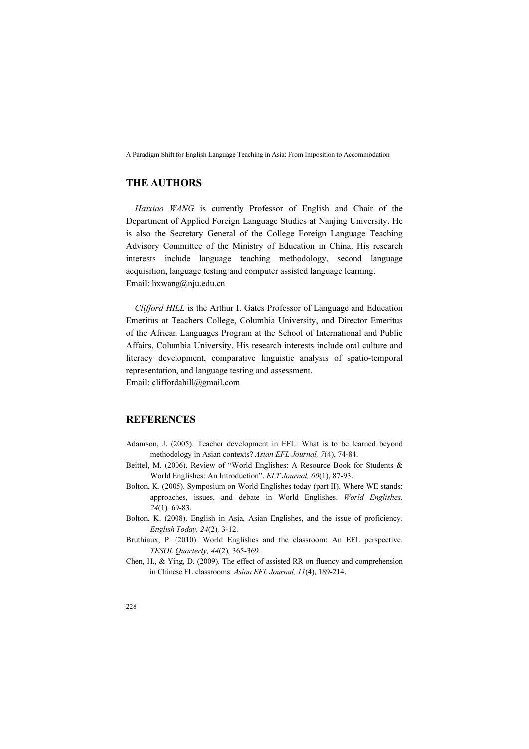# THE AUTHORS

Haixiao WANG is currently Professor of English and Chair of the Department of Applied Foreign Language Studies at Nanjing University. He is also the Secretary General of the College Foreign Language Teaching Advisory Committee of the Ministry of Education in China. His research interests include language teaching methodology, second language acquisition, language testing and computer assisted language learning. Email: hxwang@nju.edu.cn

Clifford HILL is the Arthur I. Gates Professor of Language and Education Emeritus at Teachers College, Columbia University, and Director Emeritus of the African Languages Program at the School of International and Public Affairs, Columbia University. His research interests include oral culture and literacy development, comparative linguistic analysis of spatio-temporal representation, and language testing and assessment. Email: cliffordahill@gmail.com

# **REFERENCES**

- Adamson, J. (2005). Teacher development in EFL: What is to be learned beyond methodology in Asian contexts? Asian EFL Journal, 7(4), 74-84.
- Beittel, M. (2006). Review of "World Englishes: A Resource Book for Students & World Englishes: An Introduction". ELT Journal, 60(1), 87-93.
- Bolton, K. (2005). Symposium on World Englishes today (part II). Where WE stands: approaches, issues, and debate in World Englishes. World Englishes, 24(1), 69-83.
- Bolton, K. (2008). English in Asia, Asian Englishes, and the issue of proficiency. English Today, 24(2), 3-12.
- Bruthiaux, P. (2010). World Englishes and the classroom: An EFL perspective. TESOL Quarterly, 44(2), 365-369.
- Chen, H., & Ying, D. (2009). The effect of assisted RR on fluency and comprehension in Chinese FL classrooms. Asian EFL Journal, 11(4), 189-214.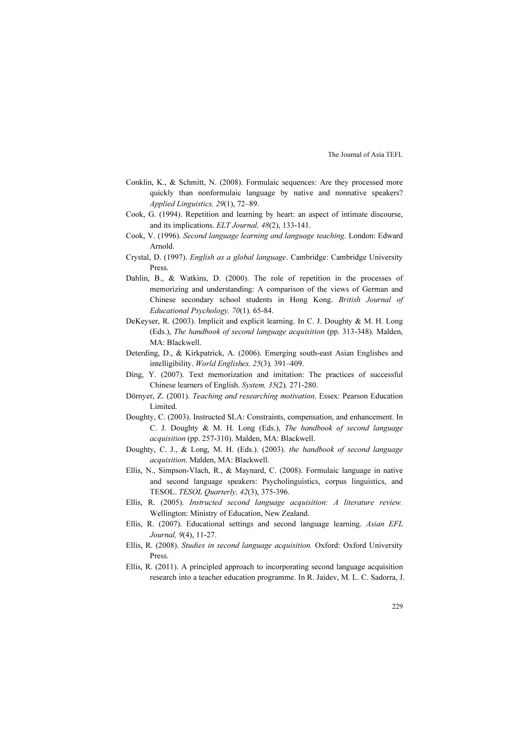- Conklin, K., & Schmitt, N. (2008). Formulaic sequences: Are they processed more quickly than nonformulaic language by native and nonnative speakers? Applied Linguistics, 29(1), 72–89.
- Cook, G. (1994). Repetition and learning by heart: an aspect of intimate discourse, and its implications. ELT Journal, 48(2), 133-141.
- Cook, V. (1996). Second language learning and language teaching. London: Edward Arnold.
- Crystal, D. (1997). English as a global language. Cambridge: Cambridge University Press.
- Dahlin, B., & Watkins, D. (2000). The role of repetition in the processes of memorizing and understanding: A comparison of the views of German and Chinese secondary school students in Hong Kong. British Journal of Educational Psychology, 70(1), 65-84.
- DeKeyser, R. (2003). Implicit and explicit learning. In C. J. Doughty & M. H. Long (Eds.), The handbook of second language acquisition (pp. 313-348). Malden, MA: Blackwell.
- Deterding, D., & Kirkpatrick, A. (2006). Emerging south-east Asian Englishes and intelligibility. World Englishes, 25(3), 391–409.
- Ding, Y. (2007). Text memorization and imitation: The practices of successful Chinese learners of English. System, 35(2), 271-280.
- Dörnyer, Z. (2001). Teaching and researching motivation. Essex: Pearson Education Limited.
- Doughty, C. (2003). Instructed SLA: Constraints, compensation, and enhancement. In C. J. Doughty & M. H. Long (Eds.), The handbook of second language acquisition (pp. 257-310). Malden, MA: Blackwell.
- Doughty, C. J., & Long, M. H. (Eds.). (2003). the handbook of second language acquisition. Malden, MA: Blackwell.
- Ellis, N., Simpson-Vlach, R., & Maynard, C. (2008). Formulaic language in native and second language speakers: Psycholinguistics, corpus linguistics, and TESOL. TESOL Quarterly, 42(3), 375-396.
- Ellis, R. (2005). Instructed second language acquisition: A literature review. Wellington: Ministry of Education, New Zealand.
- Ellis, R. (2007). Educational settings and second language learning. Asian EFL Journal, 9(4), 11-27.
- Ellis, R. (2008). Studies in second language acquisition. Oxford: Oxford University Press.
- Ellis, R. (2011). A principled approach to incorporating second language acquisition research into a teacher education programme. In R. Jaidev, M. L. C. Sadorra, J.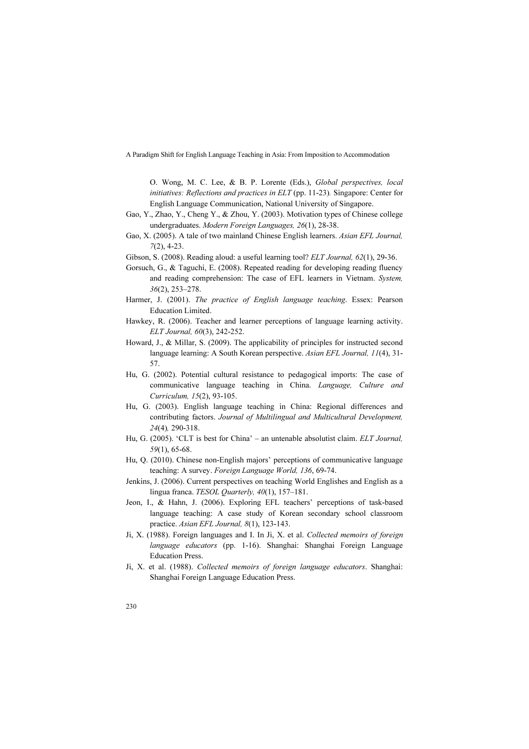O. Wong, M. C. Lee, & B. P. Lorente (Eds.), Global perspectives, local initiatives: Reflections and practices in ELT (pp. 11-23). Singapore: Center for English Language Communication, National University of Singapore.

- Gao, Y., Zhao, Y., Cheng Y., & Zhou, Y. (2003). Motivation types of Chinese college undergraduates. Modern Foreign Languages, 26(1), 28-38.
- Gao, X. (2005). A tale of two mainland Chinese English learners. Asian EFL Journal, 7(2), 4-23.
- Gibson, S. (2008). Reading aloud: a useful learning tool? ELT Journal, 62(1), 29-36.
- Gorsuch, G., & Taguchi, E. (2008). Repeated reading for developing reading fluency and reading comprehension: The case of EFL learners in Vietnam. System, 36(2), 253–278.
- Harmer, J. (2001). The practice of English language teaching. Essex: Pearson Education Limited.
- Hawkey, R. (2006). Teacher and learner perceptions of language learning activity. ELT Journal, 60(3), 242-252.
- Howard, J., & Millar, S. (2009). The applicability of principles for instructed second language learning: A South Korean perspective. Asian EFL Journal, 11(4), 31- 57.
- Hu, G. (2002). Potential cultural resistance to pedagogical imports: The case of communicative language teaching in China. Language, Culture and Curriculum, 15(2), 93-105.
- Hu, G. (2003). English language teaching in China: Regional differences and contributing factors. Journal of Multilingual and Multicultural Development, 24(4), 290-318.
- Hu, G. (2005). 'CLT is best for China' an untenable absolutist claim. ELT Journal, 59(1), 65-68.
- Hu, Q. (2010). Chinese non-English majors' perceptions of communicative language teaching: A survey. Foreign Language World, 136, 69-74.
- Jenkins, J. (2006). Current perspectives on teaching World Englishes and English as a lingua franca. TESOL Quarterly, 40(1), 157–181.
- Jeon, I., & Hahn, J. (2006). Exploring EFL teachers' perceptions of task-based language teaching: A case study of Korean secondary school classroom practice. Asian EFL Journal, 8(1), 123-143.
- Ji, X. (1988). Foreign languages and I. In Ji, X. et al. Collected memoirs of foreign language educators (pp. 1-16). Shanghai: Shanghai Foreign Language Education Press.
- Ji, X. et al. (1988). Collected memoirs of foreign language educators. Shanghai: Shanghai Foreign Language Education Press.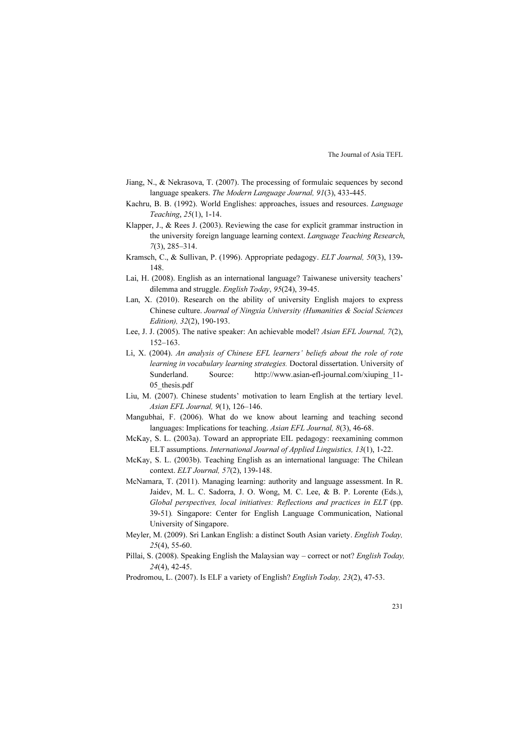- Jiang, N., & Nekrasova, T. (2007). The processing of formulaic sequences by second language speakers. The Modern Language Journal, 91(3), 433-445.
- Kachru, B. B. (1992). World Englishes: approaches, issues and resources. Language Teaching, 25(1), 1-14.
- Klapper, J., & Rees J. (2003). Reviewing the case for explicit grammar instruction in the university foreign language learning context. Language Teaching Research, 7(3), 285–314.
- Kramsch, C., & Sullivan, P. (1996). Appropriate pedagogy. ELT Journal, 50(3), 139- 148.
- Lai, H. (2008). English as an international language? Taiwanese university teachers' dilemma and struggle. English Today, 95(24), 39-45.
- Lan, X. (2010). Research on the ability of university English majors to express Chinese culture. Journal of Ningxia University (Humanities & Social Sciences Edition), 32(2), 190-193.
- Lee, J. J. (2005). The native speaker: An achievable model? Asian EFL Journal, 7(2), 152–163.
- Li, X. (2004). An analysis of Chinese EFL learners' beliefs about the role of rote learning in vocabulary learning strategies. Doctoral dissertation. University of Sunderland. Source: http://www.asian-efl-journal.com/xiuping\_11- 05 thesis.pdf
- Liu, M. (2007). Chinese students' motivation to learn English at the tertiary level. Asian EFL Journal, 9(1), 126–146.
- Mangubhai, F. (2006). What do we know about learning and teaching second languages: Implications for teaching. Asian EFL Journal, 8(3), 46-68.
- McKay, S. L. (2003a). Toward an appropriate EIL pedagogy: reexamining common ELT assumptions. International Journal of Applied Linguistics, 13(1), 1-22.
- McKay, S. L. (2003b). Teaching English as an international language: The Chilean context. ELT Journal, 57(2), 139-148.
- McNamara, T. (2011). Managing learning: authority and language assessment. In R. Jaidev, M. L. C. Sadorra, J. O. Wong, M. C. Lee, & B. P. Lorente (Eds.), Global perspectives, local initiatives: Reflections and practices in ELT (pp. 39-51). Singapore: Center for English Language Communication, National University of Singapore.
- Meyler, M. (2009). Sri Lankan English: a distinct South Asian variety. English Today, 25(4), 55-60.
- Pillai, S. (2008). Speaking English the Malaysian way correct or not? English Today, 24(4), 42-45.
- Prodromou, L. (2007). Is ELF a variety of English? English Today, 23(2), 47-53.